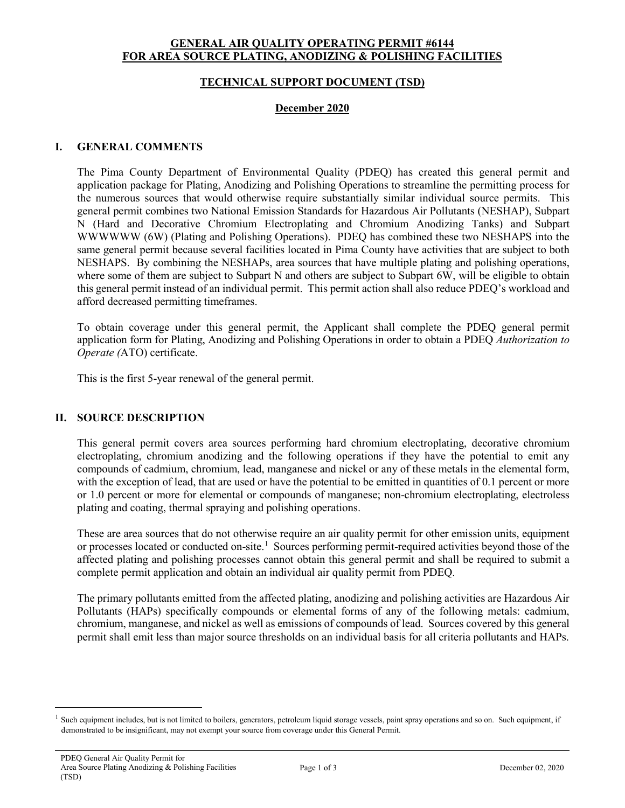# **GENERAL AIR QUALITY OPERATING PERMIT #6144 FOR AREA SOURCE PLATING, ANODIZING & POLISHING FACILITIES**

### **TECHNICAL SUPPORT DOCUMENT (TSD)**

#### **December 2020**

# **I. GENERAL COMMENTS**

The Pima County Department of Environmental Quality (PDEQ) has created this general permit and application package for Plating, Anodizing and Polishing Operations to streamline the permitting process for the numerous sources that would otherwise require substantially similar individual source permits. This general permit combines two National Emission Standards for Hazardous Air Pollutants (NESHAP), Subpart N (Hard and Decorative Chromium Electroplating and Chromium Anodizing Tanks) and Subpart WWWWWW (6W) (Plating and Polishing Operations). PDEQ has combined these two NESHAPS into the same general permit because several facilities located in Pima County have activities that are subject to both NESHAPS. By combining the NESHAPs, area sources that have multiple plating and polishing operations, where some of them are subject to Subpart N and others are subject to Subpart 6W, will be eligible to obtain this general permit instead of an individual permit. This permit action shall also reduce PDEQ's workload and afford decreased permitting timeframes.

To obtain coverage under this general permit, the Applicant shall complete the PDEQ general permit application form for Plating, Anodizing and Polishing Operations in order to obtain a PDEQ *Authorization to Operate (*ATO) certificate.

This is the first 5-year renewal of the general permit.

# **II. SOURCE DESCRIPTION**

This general permit covers area sources performing hard chromium electroplating, decorative chromium electroplating, chromium anodizing and the following operations if they have the potential to emit any compounds of cadmium, chromium, lead, manganese and nickel or any of these metals in the elemental form, with the exception of lead, that are used or have the potential to be emitted in quantities of 0.1 percent or more or 1.0 percent or more for elemental or compounds of manganese; non-chromium electroplating, electroless plating and coating, thermal spraying and polishing operations.

These are area sources that do not otherwise require an air quality permit for other emission units, equipment or processes located or conducted on-site.<sup>1</sup> Sources performing permit-required activities beyond those of the affected plating and polishing processes cannot obtain this general permit and shall be required to submit a complete permit application and obtain an individual air quality permit from PDEQ.

The primary pollutants emitted from the affected plating, anodizing and polishing activities are Hazardous Air Pollutants (HAPs) specifically compounds or elemental forms of any of the following metals: cadmium, chromium, manganese, and nickel as well as emissions of compounds of lead. Sources covered by this general permit shall emit less than major source thresholds on an individual basis for all criteria pollutants and HAPs.

<span id="page-0-0"></span>Such equipment includes, but is not limited to boilers, generators, petroleum liquid storage vessels, paint spray operations and so on. Such equipment, if demonstrated to be insignificant, may not exempt your source from coverage under this General Permit.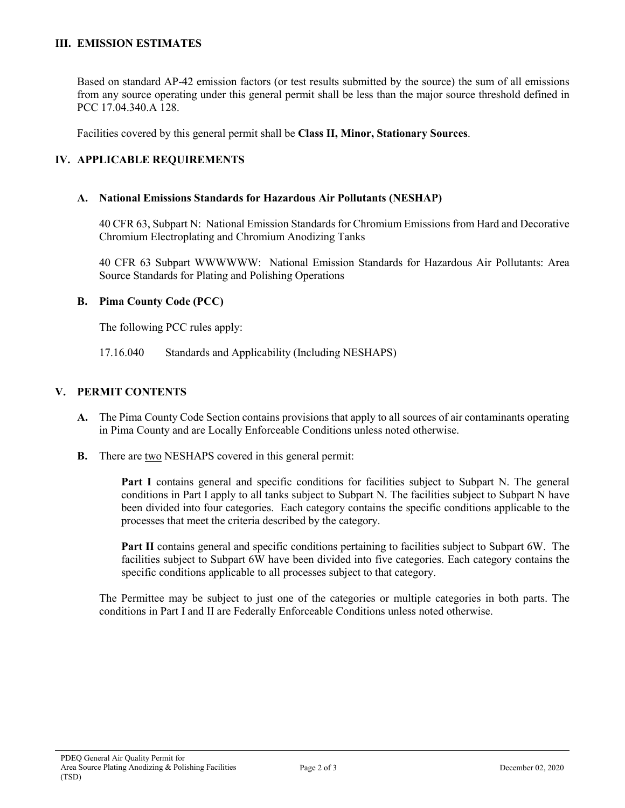# **III. EMISSION ESTIMATES**

Based on standard AP-42 emission factors (or test results submitted by the source) the sum of all emissions from any source operating under this general permit shall be less than the major source threshold defined in PCC 17.04.340.A 128.

Facilities covered by this general permit shall be **Class II, Minor, Stationary Sources**.

# **IV. APPLICABLE REQUIREMENTS**

### **A. National Emissions Standards for Hazardous Air Pollutants (NESHAP)**

40 CFR 63, Subpart N: National Emission Standards for Chromium Emissions from Hard and Decorative Chromium Electroplating and Chromium Anodizing Tanks

40 CFR 63 Subpart WWWWWW: National Emission Standards for Hazardous Air Pollutants: Area Source Standards for Plating and Polishing Operations

### **B. Pima County Code (PCC)**

The following PCC rules apply:

17.16.040 Standards and Applicability (Including NESHAPS)

### **V. PERMIT CONTENTS**

- **A.** The Pima County Code Section contains provisions that apply to all sources of air contaminants operating in Pima County and are Locally Enforceable Conditions unless noted otherwise.
- **B.** There are two NESHAPS covered in this general permit:

**Part I** contains general and specific conditions for facilities subject to Subpart N. The general conditions in Part I apply to all tanks subject to Subpart N. The facilities subject to Subpart N have been divided into four categories. Each category contains the specific conditions applicable to the processes that meet the criteria described by the category.

**Part II** contains general and specific conditions pertaining to facilities subject to Subpart 6W. The facilities subject to Subpart 6W have been divided into five categories. Each category contains the specific conditions applicable to all processes subject to that category.

The Permittee may be subject to just one of the categories or multiple categories in both parts. The conditions in Part I and II are Federally Enforceable Conditions unless noted otherwise.